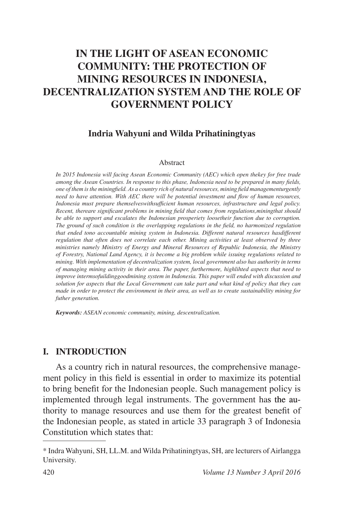# **IN THE LIGHT OF ASEAN ECONOMIC COMMUNITY: THE PROTECTION OF MINING RESOURCES IN INDONESIA, DECENTRALIZATION SYSTEM AND THE ROLE OF GOVERNMENT POLICY**

### **Indria Wahyuni and Wilda Prihatiningtyas**

#### Abstract

*In 2015 Indonesia will facing Asean Economic Community (AEC) which open thekey for free trade among the Asean Countries. In response to this phase, Indonesia need to be prepared in many fields, Rahalog one of them* is the miningfield. As a country rich of natural resources, mining field managementurgently *need to have attention. With AEC there will be potential investment and flow of human resources,* Indonesia must prepare themselveswithsufficient human resources, infrastructure and legal policy. Recent, thereare significant problems in mining field that comes from regulations, mining that should *be able to support and escalates the Indonesian prosperiety loosetheir function due to corruption. The ground of such condition is the overlapping regulations in the field, no harmonized regulation* that ended tono accountable mining system in Indonesia. Different natural resources hasdifferent *regulation that often does not correlate each other. Mining activities at least observed by three ministries namely Ministry of Energy and Mineral Resources of Republic Indonesia, the Ministry of Forestry, National Land Agency, it is become a big problem while issuing regulations related to mining. With implementation of decentralization system, local government also has authority in terms of managing mining activity in their area. The paper, furthermore, highlihted aspects that need to improve intermsofuildinggoodmining system in Indonesia. This paper will ended with discussion and solution for aspects that the Local Government can take part and what kind of policy that they can made in order to protect the environment in their area, as well as to create sustainability mining for futher generation.*

*Keywords: ASEAN economic community, mining, descentralization.*

#### **I. INTRODUCTION**

As a country rich in natural resources, the comprehensive management policy in this field is essential in order to maximize its potential to bring benefit for the Indonesian people. Such management policy is implemented through legal instruments. The government has the authority to manage resources and use them for the greatest benefit of the Indonesian people, as stated in article 33 paragraph 3 of Indonesia Constitution which states that:

<sup>\*</sup> Indra Wahyuni, SH, LL.M. and Wilda Prihatiningtyas, SH, are lecturers of Airlangga University.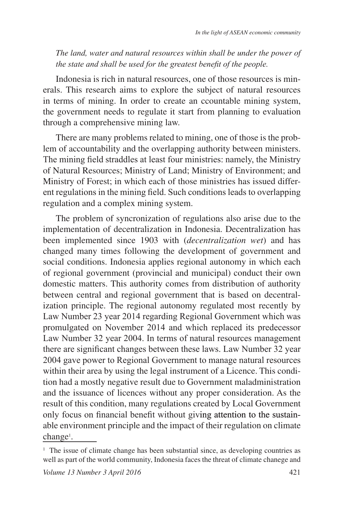*The land, water and natural resources within shall be under the power of the state and shall be used for the greatest benefit of the people.* 

Indonesia is rich in natural resources, one of those resources is minerals. This research aims to explore the subject of natural resources in terms of mining. In order to create an ccountable mining system, the government needs to regulate it start from planning to evaluation through a comprehensive mining law.

There are many problems related to mining, one of those is the problem of accountability and the overlapping authority between ministers. The mining field straddles at least four ministries: namely, the Ministry of Natural Resources; Ministry of Land; Ministry of Environment; and Ministry of Forest; in which each of those ministries has issued different regulations in the mining field. Such conditions leads to overlapping regulation and a complex mining system.

The problem of syncronization of regulations also arise due to the implementation of decentralization in Indonesia. Decentralization has been implemented since 1903 with (*decentralization wet*) and has changed many times following the development of government and social conditions. Indonesia applies regional autonomy in which each of regional government (provincial and municipal) conduct their own domestic matters. This authority comes from distribution of authority between central and regional government that is based on decentralization principle. The regional autonomy regulated most recently by Law Number 23 year 2014 regarding Regional Government which was promulgated on November 2014 and which replaced its predecessor Law Number 32 year 2004. In terms of natural resources management there are significant changes between these laws. Law Number 32 year 2004 gave power to Regional Government to manage natural resources within their area by using the legal instrument of a Licence. This condition had a mostly negative result due to Government maladministration and the issuance of licences without any proper consideration. As the result of this condition, many regulations created by Local Government only focus on financial benefit without giving attention to the sustainable environment principle and the impact of their regulation on climate change<sup>1</sup>.

<sup>&</sup>lt;sup>1</sup> The issue of climate change has been substantial since, as developing countries as well as part of the world community, Indonesia faces the threat of climate chanege and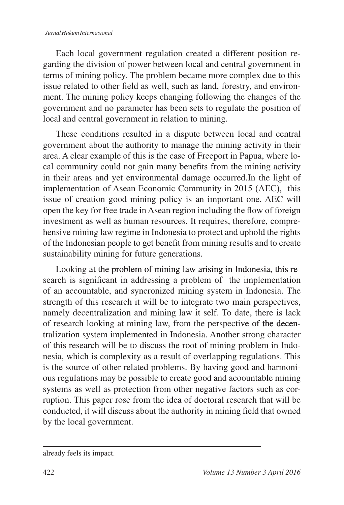Each local government regulation created a different position regarding the division of power between local and central government in terms of mining policy. The problem became more complex due to this issue related to other field as well, such as land, forestry, and environment. The mining policy keeps changing following the changes of the government and no parameter has been sets to regulate the position of local and central government in relation to mining.

These conditions resulted in a dispute between local and central government about the authority to manage the mining activity in their area. A clear example of this is the case of Freeport in Papua, where local community could not gain many benefits from the mining activity in their areas and yet environmental damage occurred.In the light of implementation of Asean Economic Community in 2015 (AEC), this issue of creation good mining policy is an important one, AEC will open the key for free trade in Asean region including the flow of foreign investment as well as human resources. It requires, therefore, comprehensive mining law regime in Indonesia to protect and uphold the rights of the Indonesian people to get benefit from mining results and to create sustainability mining for future generations.

Looking at the problem of mining law arising in Indonesia, this research is significant in addressing a problem of the implementation of an accountable, and syncronized mining system in Indonesia. The strength of this research it will be to integrate two main perspectives, namely decentralization and mining law it self. To date, there is lack of research looking at mining law, from the perspective of the decentralization system implemented in Indonesia. Another strong character of this research will be to discuss the root of mining problem in Indonesia, which is complexity as a result of overlapping regulations. This is the source of other related problems. By having good and harmonious regulations may be possible to create good and acoountable mining systems as well as protection from other negative factors such as corruption. This paper rose from the idea of doctoral research that will be conducted, it will discuss about the authority in mining field that owned by the local government.

already feels its impact.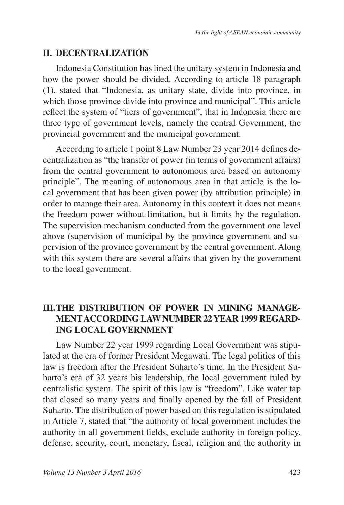# **II. DECENTRALIZATION**

Indonesia Constitution has lined the unitary system in Indonesia and how the power should be divided. According to article 18 paragraph (1), stated that "Indonesia, as unitary state, divide into province, in which those province divide into province and municipal". This article reflect the system of "tiers of government", that in Indonesia there are three type of government levels, namely the central Government, the provincial government and the municipal government.

According to article 1 point 8 Law Number 23 year 2014 defines decentralization as "the transfer of power (in terms of government affairs) from the central government to autonomous area based on autonomy principle". The meaning of autonomous area in that article is the local government that has been given power (by attribution principle) in order to manage their area. Autonomy in this context it does not means the freedom power without limitation, but it limits by the regulation. The supervision mechanism conducted from the government one level above (supervision of municipal by the province government and supervision of the province government by the central government. Along with this system there are several affairs that given by the government to the local government.

# **III. THE DISTRIBUTION OF POWER IN MINING MANAGE-MENT ACCORDING LAW NUMBER 22 YEAR 1999 REGARD-ING LOCAL GOVERNMENT**

Law Number 22 year 1999 regarding Local Government was stipulated at the era of former President Megawati. The legal politics of this law is freedom after the President Suharto's time. In the President Suharto's era of 32 years his leadership, the local government ruled by centralistic system. The spirit of this law is "freedom". Like water tap that closed so many years and finally opened by the fall of President Suharto. The distribution of power based on this regulation is stipulated in Article 7, stated that "the authority of local government includes the authority in all government fields, exclude authority in foreign policy, defense, security, court, monetary, fiscal, religion and the authority in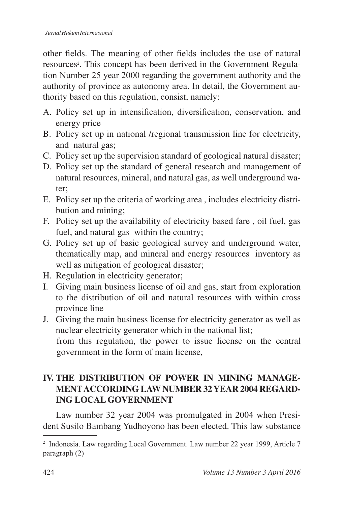other fields. The meaning of other fields includes the use of natural resources . This concept has been derived in the Government Regulation Number 25 year 2000 regarding the government authority and the authority of province as autonomy area. In detail, the Government authority based on this regulation, consist, namely:

- A. Policy set up in intensification, diversification, conservation, and energy price
- B. Policy set up in national /regional transmission line for electricity, and natural gas;
- C. Policy set up the supervision standard of geological natural disaster;
- D. Policy set up the standard of general research and management of natural resources, mineral, and natural gas, as well underground water;
- E. Policy set up the criteria of working area , includes electricity distribution and mining;
- F. Policy set up the availability of electricity based fare , oil fuel, gas fuel, and natural gas within the country;
- G. Policy set up of basic geological survey and underground water, thematically map, and mineral and energy resources inventory as well as mitigation of geological disaster;
- H. Regulation in electricity generator;
- I. Giving main business license of oil and gas, start from exploration to the distribution of oil and natural resources with within cross province line
- J. Giving the main business license for electricity generator as well as nuclear electricity generator which in the national list; from this regulation, the power to issue license on the central government in the form of main license,

# **IV. THE DISTRIBUTION OF POWER IN MINING MANAGE-MENT ACCORDING LAW NUMBER 32 YEAR 2004 REGARD-ING LOCAL GOVERNMENT**

Law number 32 year 2004 was promulgated in 2004 when President Susilo Bambang Yudhoyono has been elected. This law substance

 $^2$  Indonesia. Law regarding Local Government. Law number 22 year 1999, Article 7 paragraph $(2)$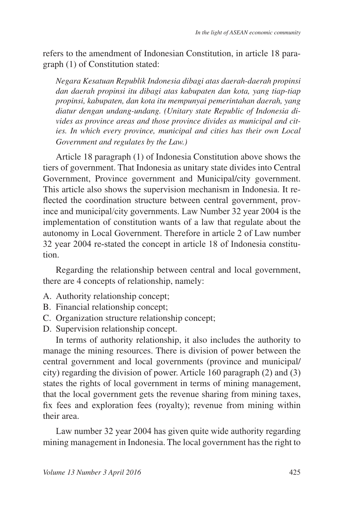refers to the amendment of Indonesian Constitution, in article 18 paragraph (1) of Constitution stated:

*Negara Kesatuan Republik Indonesia dibagi atas daerah-daerah propinsi dan daerah propinsi itu dibagi atas kabupaten dan kota, yang tiap-tiap propinsi, kabupaten, dan kota itu mempunyai pemerintahan daerah, yang diatur dengan undang-undang. (Unitary state Republic of Indonesia divides as province areas and those province divides as municipal and cities. In which every province, municipal and cities has their own Local Government and regulates by the Law.)*

Article 18 paragraph (1) of Indonesia Constitution above shows the tiers of government. That Indonesia as unitary state divides into Central Government, Province government and Municipal/city government. This article also shows the supervision mechanism in Indonesia. It re flected the coordination structure between central government, province and municipal/city governments. Law Number 32 year 2004 is the implementation of constitution wants of a law that regulate about the autonomy in Local Government. Therefore in article 2 of Law number  $32$  year  $2004$  re-stated the concept in article 18 of Indonesia constitution.

Regarding the relationship between central and local government, there are 4 concepts of relationship, namely:

- A. Authority relationship concept;
- B. Financial relationship concept;
- C. Organization structure relationship concept;
- D. Supervision relationship concept.

In terms of authority relationship, it also includes the authority to manage the mining resources. There is division of power between the central government and local governments (province and municipal/ city) regarding the division of power. Article 160 paragraph  $(2)$  and  $(3)$ states the rights of local government in terms of mining management, that the local government gets the revenue sharing from mining taxes, fix fees and exploration fees (royalty); revenue from mining within their area.

Law number 32 year 2004 has given quite wide authority regarding mining management in Indonesia. The local government has the right to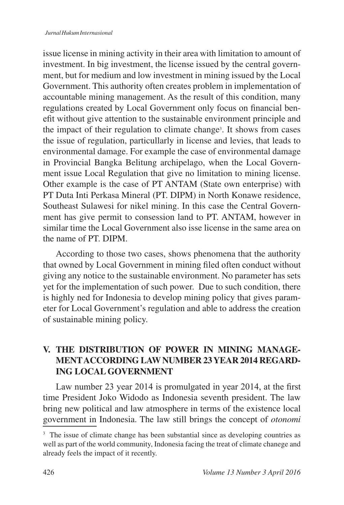issue license in mining activity in their area with limitation to amount of investment. In big investment, the license issued by the central government, but for medium and low investment in mining issued by the Local Government. This authority often creates problem in implementation of accountable mining management. As the result of this condition, many regulations created by Local Government only focus on financial benefit without give attention to the sustainable environment principle and the impact of their regulation to climate change<sup>3</sup>. It shows from cases the issue of regulation, particullarly in license and levies, that leads to environmental damage. For example the case of environmental damage in Provincial Bangka Belitung archipelago, when the Local Government issue Local Regulation that give no limitation to mining license. Other example is the case of PT ANTAM (State own enterprise) with PT Duta Inti Perkasa Mineral (PT. DIPM) in North Konawe residence, Southeast Sulawesi for nikel mining. In this case the Central Government has give permit to consession land to PT. ANTAM, however in similar time the Local Government also isse license in the same area on the name of PT. DIPM.

According to those two cases, shows phenomena that the authority that owned by Local Government in mining filed often conduct without giving any notice to the sustainable environment. No parameter has sets yet for the implementation of such power. Due to such condition, there is highly ned for Indonesia to develop mining policy that gives parameter for Local Government's regulation and able to address the creation of sustainable mining policy.

# **V. THE DISTRIBUTION OF POWER IN MINING MANAGE-MENT ACCORDING LAW NUMBER 23 YEAR 2014 REGARD-ING LOCAL GOVERNMENT**

Law number 23 year 2014 is promulgated in year 2014, at the first time President Joko Widodo as Indonesia seventh president. The law bring new political and law atmosphere in terms of the existence local government in Indonesia. The law still brings the concept of *otonomi* 

<sup>&</sup>lt;sup>3</sup> The issue of climate change has been substantial since as developing countries as well as part of the world community, Indonesia facing the treat of climate chanege and already feels the impact of it recently.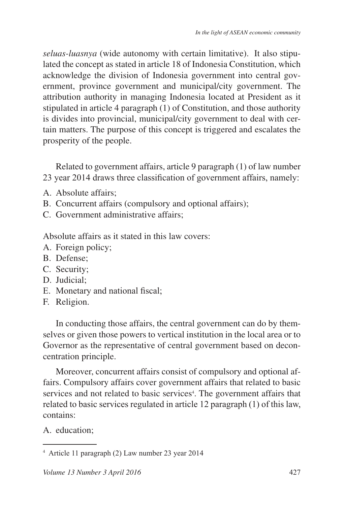*seluas-luasnya* (wide autonomy with certain limitative). It also stipulated the concept as stated in article 18 of Indonesia Constitution, which acknowledge the division of Indonesia government into central government, province government and municipal/city government. The attribution authority in managing Indonesia located at President as it stipulated in article 4 paragraph (1) of Constitution, and those authority is divides into provincial, municipal/city government to deal with certain matters. The purpose of this concept is triggered and escalates the prosperity of the people.

Related to government affairs, article 9 paragraph (1) of law number 23 year 2014 draws three classification of government affairs, namely:

- A. Absolute affairs;
- B. Concurrent affairs (compulsory and optional affairs);
- C. Government administrative affairs;

Absolute affairs as it stated in this law covers:

- A. Foreign policy;
- B. Defense;
- C. Security;
- D. Judicial;
- E. Monetary and national fiscal;
- F. Religion.

In conducting those affairs, the central government can do by themselves or given those powers to vertical institution in the local area or to Governor as the representative of central government based on deconcentration principle.

Moreover, concurrent affairs consist of compulsory and optional affairs. Compulsory affairs cover government affairs that related to basic services and not related to basic services<sup>4</sup>. The government affairs that related to basic services regulated in article 12 paragraph  $(1)$  of this law, contains:

A. education;

<sup>&</sup>lt;sup>4</sup> Article 11 paragraph (2) Law number 23 year 2014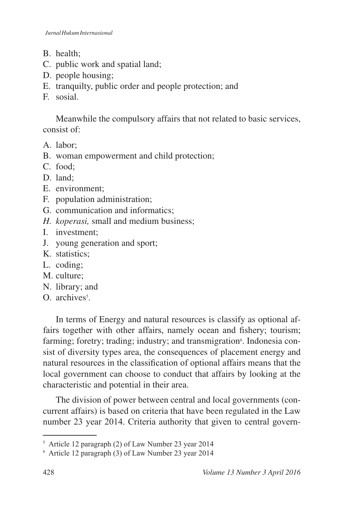- B. health;
- C. public work and spatial land;
- D. people housing;
- E. tranquilty, public order and people protection; and
- F. sosial.

Meanwhile the compulsory affairs that not related to basic services, consist of:

- A. labor;
- B. woman empowerment and child protection;
- C. food;
- D. land;
- E. environment;
- F. population administration;
- G. communication and informatics;
- *H. koperasi,* small and medium business;
- I. investment;
- J. young generation and sport;
- K. statistics;
- L. coding;
- M. culture;
- N. library; and
- O. archives .

In terms of Energy and natural resources is classify as optional affairs together with other affairs, namely ocean and fishery; tourism; farming; foretry; trading; industry; and transmigration . Indonesia consist of diversity types area, the consequences of placement energy and natural resources in the classification of optional affairs means that the local government can choose to conduct that affairs by looking at the characteristic and potential in their area.

The division of power between central and local governments (concurrent affairs) is based on criteria that have been regulated in the Law number 23 year 2014. Criteria authority that given to central govern-

 $5$  Article 12 paragraph (2) of Law Number 23 year 2014

 $6$  Article 12 paragraph (3) of Law Number 23 year 2014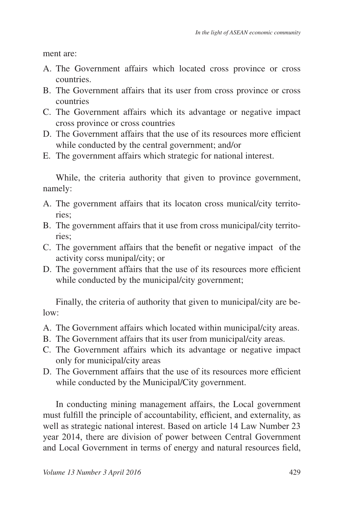ment are:

- A. The Government affairs which located cross province or cross countries.
- B. The Government affairs that its user from cross province or cross countries
- C. The Government affairs which its advantage or negative impact cross province or cross countries
- D. The Government affairs that the use of its resources more efficient while conducted by the central government; and/or
- E. The government affairs which strategic for national interest.

While, the criteria authority that given to province government, namely:

- A. The government affairs that its locaton cross munical/city territories;
- B. The government affairs that it use from cross municipal/city territories;
- C. The government affairs that the benefit or negative impact of the activity corss munipal/city; or
- D. The government affairs that the use of its resources more efficient while conducted by the municipal/city government;

Finally, the criteria of authority that given to municipal/city are below:

- A. The Government affairs which located within municipal/city areas.
- B. The Government affairs that its user from municipal/city areas.
- C. The Government affairs which its advantage or negative impact only for municipal/city areas
- D. The Government affairs that the use of its resources more efficient while conducted by the Municipal/City government.

In conducting mining management affairs, the Local government must fulfill the principle of accountability, efficient, and externality, as well as strategic national interest. Based on article 14 Law Number 23 year 2014, there are division of power between Central Government and Local Government in terms of energy and natural resources field,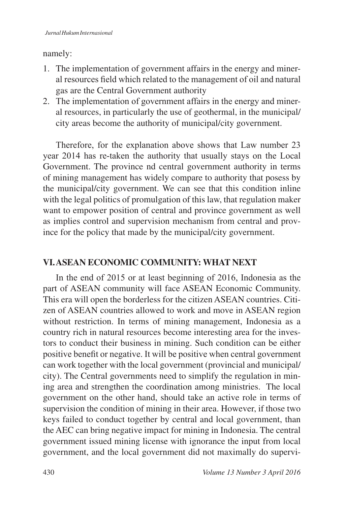### namely:

- 1. The implementation of government affairs in the energy and mineral resources field which related to the management of oil and natural gas are the Central Government authority
- 2. The implementation of government affairs in the energy and mineral resources, in particularly the use of geothermal, in the municipal/ city areas become the authority of municipal/city government.

Therefore, for the explanation above shows that Law number 23 year 2014 has re-taken the authority that usually stays on the Local Government. The province nd central government authority in terms of mining management has widely compare to authority that posess by the municipal/city government. We can see that this condition inline with the legal politics of promulgation of this law, that regulation maker want to empower position of central and province government as well as implies control and supervision mechanism from central and province for the policy that made by the municipal/city government.

# **VI. ASEAN ECONOMIC COMMUNITY: WHAT NEXT**

In the end of 2015 or at least beginning of 2016, Indonesia as the part of ASEAN community will face ASEAN Economic Community. This era will open the borderless for the citizen ASEAN countries. Citizen of ASEAN countries allowed to work and move in ASEAN region without restriction. In terms of mining management, Indonesia as a country rich in natural resources become interesting area for the investors to conduct their business in mining. Such condition can be either positive benefit or negative. It will be positive when central government can work together with the local government (provincial and municipal/ city). The Central governments need to simplify the regulation in mining area and strengthen the coordination among ministries. The local government on the other hand, should take an active role in terms of supervision the condition of mining in their area. However, if those two keys failed to conduct together by central and local government, than the AEC can bring negative impact for mining in Indonesia. The central government issued mining license with ignorance the input from local government, and the local government did not maximally do supervi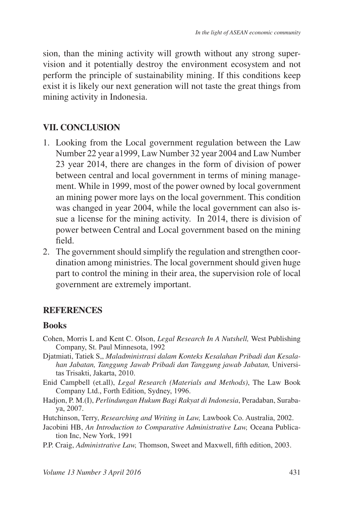sion, than the mining activity will growth without any strong supervision and it potentially destroy the environment ecosystem and not perform the principle of sustainability mining. If this conditions keep exist it is likely our next generation will not taste the great things from mining activity in Indonesia.

# **VII. CONCLUSION**

- 1. Looking from the Local government regulation between the Law Number 22 year a1999, Law Number 32 year 2004 and Law Number  $23$  year 2014, there are changes in the form of division of power between central and local government in terms of mining management. While in 1999, most of the power owned by local government an mining power more lays on the local government. This condition was changed in year 2004, while the local government can also issue a license for the mining activity. In 2014, there is division of power between Central and Local government based on the mining  $field$
- 2. The government should simplify the regulation and strengthen coordination among ministries. The local government should given huge part to control the mining in their area, the supervision role of local government are extremely important.

### **REFERENCES**

### **Books**

- Cohen, Morris L and Kent C. Olson, *Legal Research In A Nutshell,* West Publishing Company, St. Paul Minnesota, 1992
- Djatmiati, Tatiek S,, *Maladministrasi dalam Konteks Kesalahan Pribadi dan Kesalahan Jabatan, Tanggung Jawab Pribadi dan Tanggung jawab Jabatan,* Universitas Trisakti, Jakarta, 2010.
- Enid Campbell (et.all), *Legal Research (Materials and Methods)*, The Law Book Company Ltd., Forth Edition, Sydney, 1996.
- Hadjon, P. M.(I), *Perlindungan Hukum Bagi Rakyat di Indonesia*, Peradaban, Suraba ya, 2007.

Hutchinson, Terry, *Researching and Writing in Law*, Lawbook Co. Australia, 2002.

- Jacobini HB, *An Introduction to Comparative Administrative Law,* Oceana Publication Inc, New York, 1991
- P.P. Craig, *Administrative Law*, Thomson, Sweet and Maxwell, fifth edition, 2003.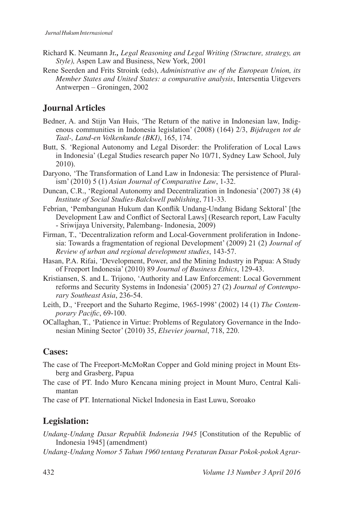- Richard K. Neumann Jr*., Legal Reasoning and Legal Writing (Structure, strategy, an Style*), Aspen Law and Business, New York, 2001
- Rene Seerden and Frits Stroink (eds), *Administrative aw of the European Union, its Member States and United States: a comparative analysis*, Intersentia Uitgevers  $Antwerpen - Groningen, 2002$

## **Journal Articles**

- Bedner, A. and Stijn Van Huis, 'The Return of the native in Indonesian law, Indigenous communities in Indonesia legislation' (2008) (164) 2/3, Bijdragen tot de *Taal-, Land-en Volkenkunde (BKI)*
- Butt, S. 'Regional Autonomy and Legal Disorder: the Proliferation of Local Laws in Indonesia' (Legal Studies research paper No 10/71, Sydney Law School, July  $2010$ ).
- Daryono, 'The Transformation of Land Law in Indonesia: The persistence of Plural- $\lim'$  (2010) 5 (1) Asian Journal of Comparative Law, 1-32.
- Duncan, C.R., 'Regional Autonomy and Decentralization in Indonesia' (2007) 38 (4) *Institute of Social Studies-Balckwell publishing*, 711-33.
- Febrian, 'Pembangunan Hukum dan Konflik Undang-Undang Bidang Sektoral' [the Development Law and Conflict of Sectoral Laws] (Research report, Law Faculty - Sriwijaya University, Palembang- Indonesia, 2009)
- Firman, T., 'Decentralization reform and Local-Government proliferation in Indonesia: Towards a fragmentation of regional Development' (2009) 21 (2) *Journal of Review of urban and regional development studies*
- Hasan, P.A. Rifai, 'Development, Power, and the Mining Industry in Papua: A Study of Freeport Indonesia' (2010) 89 Journal of Business Ethics, 129-43.
- Kristiansen, S. and L. Trijono, 'Authority and Law Enforcement: Local Government reforms and Security Systems in Indonesia' (2005) 27 (2) *Journal of Contemporary Southeast Asia*
- Leith, D., 'Freeport and the Suharto Regime, 1965-1998' (2002) 14 (1) The Contemporary Pacific, 69-100.
- OCallaghan, T., 'Patience in Virtue: Problems of Regulatory Governance in the Indonesian Mining Sector' (2010) 35, *Elsevier journal*, 718, 220.

#### **Cases:**

- The case of The Freeport-McMoRan Copper and Gold mining project in Mount Etsberg and Grasberg, Papua
- The case of PT. Indo Muro Kencana mining project in Mount Muro, Central Kalimantan

The case of PT. International Nickel Indonesia in East Luwu, Soroako

# **Legislation:**

- *Undang-Undang Dasar Republik Indonesia 1945* [Constitution of the Republic of Indonesia 1945] (amendment)
- *Undang-Undang Nomor 5 Tahun 1960 tentang Peraturan Dasar Pokok-pokok Agrar-*